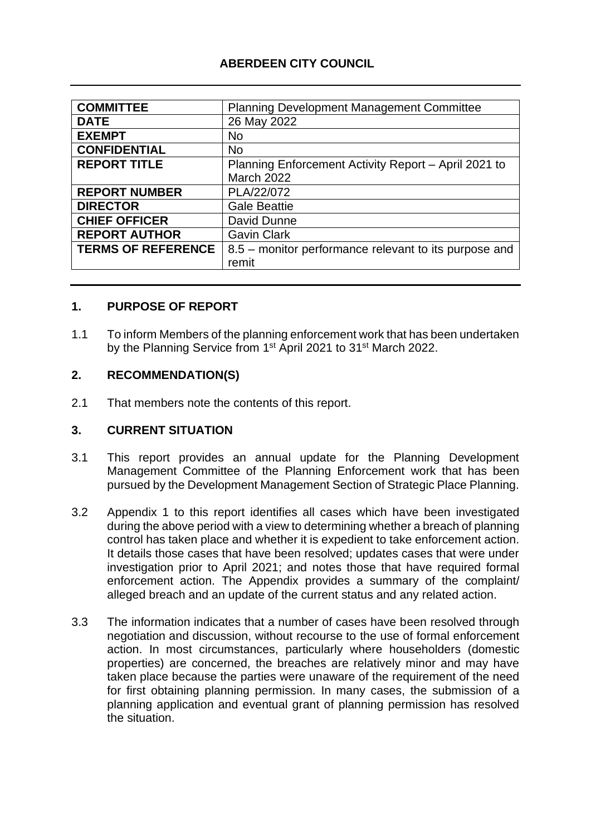## **ABERDEEN CITY COUNCIL**

| <b>COMMITTEE</b>          | <b>Planning Development Management Committee</b>      |
|---------------------------|-------------------------------------------------------|
| <b>DATE</b>               | 26 May 2022                                           |
| <b>EXEMPT</b>             | <b>No</b>                                             |
| <b>CONFIDENTIAL</b>       | <b>No</b>                                             |
| <b>REPORT TITLE</b>       | Planning Enforcement Activity Report - April 2021 to  |
|                           | <b>March 2022</b>                                     |
| <b>REPORT NUMBER</b>      | PLA/22/072                                            |
| <b>DIRECTOR</b>           | <b>Gale Beattie</b>                                   |
| <b>CHIEF OFFICER</b>      | David Dunne                                           |
| <b>REPORT AUTHOR</b>      | <b>Gavin Clark</b>                                    |
| <b>TERMS OF REFERENCE</b> | 8.5 – monitor performance relevant to its purpose and |
|                           | remit                                                 |
|                           |                                                       |

#### **1. PURPOSE OF REPORT**

1.1 To inform Members of the planning enforcement work that has been undertaken by the Planning Service from 1<sup>st</sup> April 2021 to 31<sup>st</sup> March 2022.

#### **2. RECOMMENDATION(S)**

2.1 That members note the contents of this report.

#### **3. CURRENT SITUATION**

- 3.1 This report provides an annual update for the Planning Development Management Committee of the Planning Enforcement work that has been pursued by the Development Management Section of Strategic Place Planning.
- 3.2 Appendix 1 to this report identifies all cases which have been investigated during the above period with a view to determining whether a breach of planning control has taken place and whether it is expedient to take enforcement action. It details those cases that have been resolved; updates cases that were under investigation prior to April 2021; and notes those that have required formal enforcement action. The Appendix provides a summary of the complaint/ alleged breach and an update of the current status and any related action.
- 3.3 The information indicates that a number of cases have been resolved through negotiation and discussion, without recourse to the use of formal enforcement action. In most circumstances, particularly where householders (domestic properties) are concerned, the breaches are relatively minor and may have taken place because the parties were unaware of the requirement of the need for first obtaining planning permission. In many cases, the submission of a planning application and eventual grant of planning permission has resolved the situation.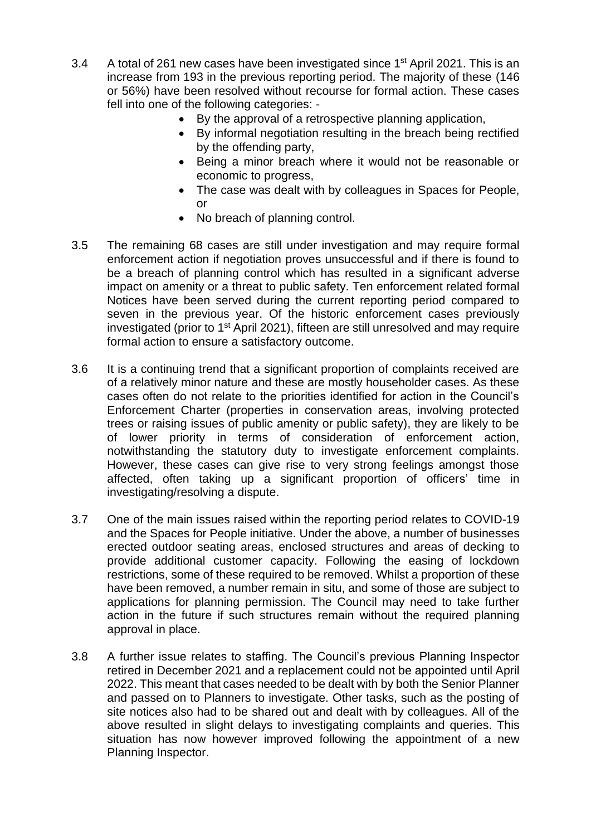- 3.4 A total of 261 new cases have been investigated since 1<sup>st</sup> April 2021. This is an increase from 193 in the previous reporting period. The majority of these (146 or 56%) have been resolved without recourse for formal action. These cases fell into one of the following categories: -
	- By the approval of a retrospective planning application,
	- By informal negotiation resulting in the breach being rectified by the offending party,
	- Being a minor breach where it would not be reasonable or economic to progress,
	- The case was dealt with by colleagues in Spaces for People, or
	- No breach of planning control.
- 3.5 The remaining 68 cases are still under investigation and may require formal enforcement action if negotiation proves unsuccessful and if there is found to be a breach of planning control which has resulted in a significant adverse impact on amenity or a threat to public safety. Ten enforcement related formal Notices have been served during the current reporting period compared to seven in the previous year. Of the historic enforcement cases previously investigated (prior to  $1<sup>st</sup>$  April 2021), fifteen are still unresolved and may require formal action to ensure a satisfactory outcome.
- 3.6 It is a continuing trend that a significant proportion of complaints received are of a relatively minor nature and these are mostly householder cases. As these cases often do not relate to the priorities identified for action in the Council's Enforcement Charter (properties in conservation areas, involving protected trees or raising issues of public amenity or public safety), they are likely to be of lower priority in terms of consideration of enforcement action, notwithstanding the statutory duty to investigate enforcement complaints. However, these cases can give rise to very strong feelings amongst those affected, often taking up a significant proportion of officers' time in investigating/resolving a dispute.
- 3.7 One of the main issues raised within the reporting period relates to COVID-19 and the Spaces for People initiative. Under the above, a number of businesses erected outdoor seating areas, enclosed structures and areas of decking to provide additional customer capacity. Following the easing of lockdown restrictions, some of these required to be removed. Whilst a proportion of these have been removed, a number remain in situ, and some of those are subject to applications for planning permission. The Council may need to take further action in the future if such structures remain without the required planning approval in place.
- 3.8 A further issue relates to staffing. The Council's previous Planning Inspector retired in December 2021 and a replacement could not be appointed until April 2022. This meant that cases needed to be dealt with by both the Senior Planner and passed on to Planners to investigate. Other tasks, such as the posting of site notices also had to be shared out and dealt with by colleagues. All of the above resulted in slight delays to investigating complaints and queries. This situation has now however improved following the appointment of a new Planning Inspector.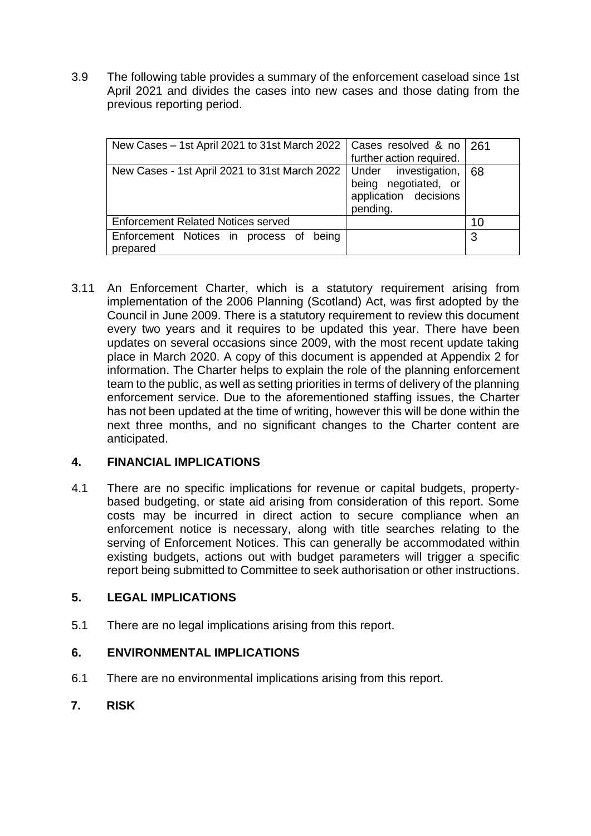3.9 The following table provides a summary of the enforcement caseload since 1st April 2021 and divides the cases into new cases and those dating from the previous reporting period.

| New Cases - 1st April 2021 to 31st March 2022   Cases resolved & no   261      | further action required.                                  |    |
|--------------------------------------------------------------------------------|-----------------------------------------------------------|----|
| New Cases - 1st April 2021 to 31st March 2022   Under investigation, $\mid 68$ | being negotiated, or<br>application decisions<br>pending. |    |
| <b>Enforcement Related Notices served</b>                                      |                                                           | 10 |
| Enforcement Notices in process of<br>being<br>prepared                         |                                                           | 3  |

3.11 An Enforcement Charter, which is a statutory requirement arising from implementation of the 2006 Planning (Scotland) Act, was first adopted by the Council in June 2009. There is a statutory requirement to review this document every two years and it requires to be updated this year. There have been updates on several occasions since 2009, with the most recent update taking place in March 2020. A copy of this document is appended at Appendix 2 for information. The Charter helps to explain the role of the planning enforcement team to the public, as well as setting priorities in terms of delivery of the planning enforcement service. Due to the aforementioned staffing issues, the Charter has not been updated at the time of writing, however this will be done within the next three months, and no significant changes to the Charter content are anticipated.

## **4. FINANCIAL IMPLICATIONS**

4.1 There are no specific implications for revenue or capital budgets, propertybased budgeting, or state aid arising from consideration of this report. Some costs may be incurred in direct action to secure compliance when an enforcement notice is necessary, along with title searches relating to the serving of Enforcement Notices. This can generally be accommodated within existing budgets, actions out with budget parameters will trigger a specific report being submitted to Committee to seek authorisation or other instructions.

## **5. LEGAL IMPLICATIONS**

5.1 There are no legal implications arising from this report.

## **6. ENVIRONMENTAL IMPLICATIONS**

- 6.1 There are no environmental implications arising from this report.
- **7. RISK**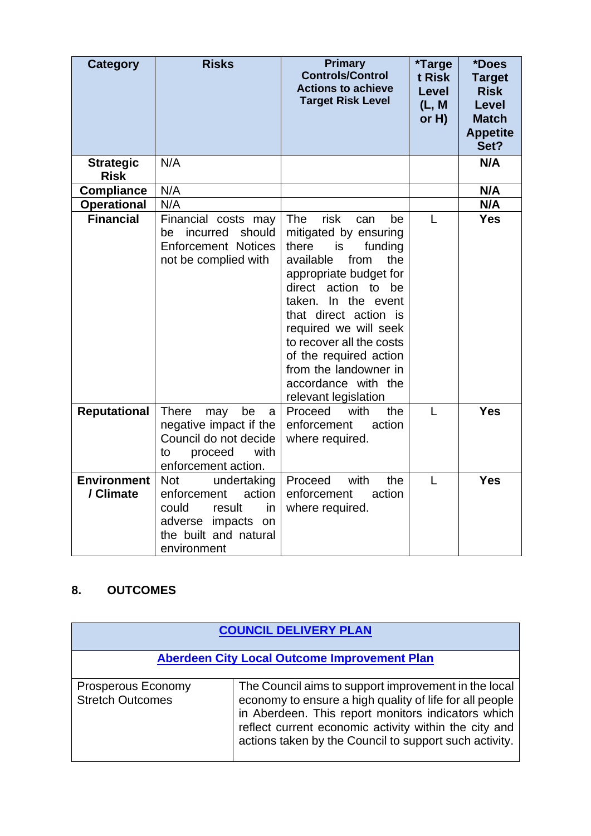| <b>Category</b>                 | <b>Risks</b>                                                                                                                              | <b>Primary</b><br><b>Controls/Control</b><br><b>Actions to achieve</b><br><b>Target Risk Level</b>                                                                                                                                                                                                                                                                     | <i><b>*Targe</b></i><br>t Risk<br><b>Level</b><br>(L, M)<br>or $H$ ) | *Does<br><b>Target</b><br><b>Risk</b><br><b>Level</b><br><b>Match</b><br><b>Appetite</b> |
|---------------------------------|-------------------------------------------------------------------------------------------------------------------------------------------|------------------------------------------------------------------------------------------------------------------------------------------------------------------------------------------------------------------------------------------------------------------------------------------------------------------------------------------------------------------------|----------------------------------------------------------------------|------------------------------------------------------------------------------------------|
|                                 |                                                                                                                                           |                                                                                                                                                                                                                                                                                                                                                                        |                                                                      | Set?                                                                                     |
| <b>Strategic</b><br><b>Risk</b> | N/A                                                                                                                                       |                                                                                                                                                                                                                                                                                                                                                                        |                                                                      | N/A                                                                                      |
| <b>Compliance</b>               | N/A                                                                                                                                       |                                                                                                                                                                                                                                                                                                                                                                        |                                                                      | N/A                                                                                      |
| <b>Operational</b>              | N/A                                                                                                                                       |                                                                                                                                                                                                                                                                                                                                                                        |                                                                      | N/A                                                                                      |
| <b>Financial</b>                | Financial costs may<br>be incurred<br>should<br><b>Enforcement Notices</b><br>not be complied with                                        | <b>The</b><br>risk<br>can<br>be<br>mitigated by ensuring<br>there<br>funding<br>is<br>from<br>available<br>the<br>appropriate budget for<br>direct action to be<br>taken. In the event<br>that direct action is<br>required we will seek<br>to recover all the costs<br>of the required action<br>from the landowner in<br>accordance with the<br>relevant legislation | L                                                                    | <b>Yes</b>                                                                               |
| <b>Reputational</b>             | <b>There</b><br>may<br>be<br>a<br>negative impact if the<br>Council do not decide<br>with<br>proceed<br>to<br>enforcement action.         | Proceed<br>with<br>the<br>enforcement<br>action<br>where required.                                                                                                                                                                                                                                                                                                     | L                                                                    | <b>Yes</b>                                                                               |
| <b>Environment</b><br>/ Climate | undertaking<br><b>Not</b><br>action<br>enforcement<br>could<br>result<br>in<br>adverse impacts on<br>the built and natural<br>environment | Proceed<br>with<br>the<br>enforcement<br>action<br>where required.                                                                                                                                                                                                                                                                                                     | L                                                                    | <b>Yes</b>                                                                               |

# **8. OUTCOMES**

| <b>COUNCIL DELIVERY PLAN</b>                         |                                                                                                                                                                                                                                                                                          |  |
|------------------------------------------------------|------------------------------------------------------------------------------------------------------------------------------------------------------------------------------------------------------------------------------------------------------------------------------------------|--|
| <b>Aberdeen City Local Outcome Improvement Plan</b>  |                                                                                                                                                                                                                                                                                          |  |
|                                                      |                                                                                                                                                                                                                                                                                          |  |
| <b>Prosperous Economy</b><br><b>Stretch Outcomes</b> | The Council aims to support improvement in the local<br>economy to ensure a high quality of life for all people<br>in Aberdeen. This report monitors indicators which<br>reflect current economic activity within the city and<br>actions taken by the Council to support such activity. |  |